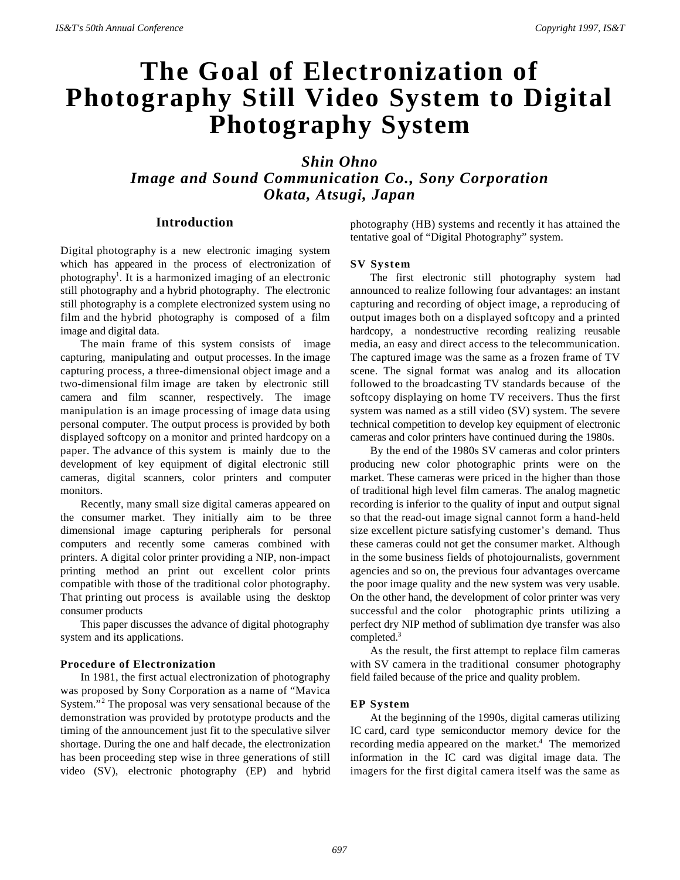# **The Goal of Electronization of Photography Still Video System to Digital Photography System**

*Shin Ohno Image and Sound Communication Co., Sony Corporation Okata, Atsugi, Japan*

# **Introduction**

Digital photography is a new electronic imaging system which has appeared in the process of electronization of photography<sup>1</sup>. It is a harmonized imaging of an electronic still photography and a hybrid photography. The electronic still photography is a complete electronized system using no film and the hybrid photography is composed of a film image and digital data.

The main frame of this system consists of image capturing, manipulating and output processes. In the image capturing process, a three-dimensional object image and a two-dimensional film image are taken by electronic still camera and film scanner, respectively. The image manipulation is an image processing of image data using personal computer. The output process is provided by both displayed softcopy on a monitor and printed hardcopy on a paper. The advance of this system is mainly due to the development of key equipment of digital electronic still cameras, digital scanners, color printers and computer monitors.

Recently, many small size digital cameras appeared on the consumer market. They initially aim to be three dimensional image capturing peripherals for personal computers and recently some cameras combined with printers. A digital color printer providing a NIP, non-impact printing method an print out excellent color prints compatible with those of the traditional color photography. That printing out process is available using the desktop consumer products

This paper discusses the advance of digital photography system and its applications.

## **Procedure of Electronization**

In 1981, the first actual electronization of photography was proposed by Sony Corporation as a name of "Mavica System."<sup>2</sup> The proposal was very sensational because of the demonstration was provided by prototype products and the timing of the announcement just fit to the speculative silver shortage. During the one and half decade, the electronization has been proceeding step wise in three generations of still video (SV), electronic photography (EP) and hybrid

photography (HB) systems and recently it has attained the tentative goal of "Digital Photography" system.

#### **SV System**

The first electronic still photography system had announced to realize following four advantages: an instant capturing and recording of object image, a reproducing of output images both on a displayed softcopy and a printed hardcopy, a nondestructive recording realizing reusable media, an easy and direct access to the telecommunication. The captured image was the same as a frozen frame of TV scene. The signal format was analog and its allocation followed to the broadcasting TV standards because of the softcopy displaying on home TV receivers. Thus the first system was named as a still video (SV) system. The severe technical competition to develop key equipment of electronic cameras and color printers have continued during the 1980s.

By the end of the 1980s SV cameras and color printers producing new color photographic prints were on the market. These cameras were priced in the higher than those of traditional high level film cameras. The analog magnetic recording is inferior to the quality of input and output signal so that the read-out image signal cannot form a hand-held size excellent picture satisfying customer's demand. Thus these cameras could not get the consumer market. Although in the some business fields of photojournalists, government agencies and so on, the previous four advantages overcame the poor image quality and the new system was very usable. On the other hand, the development of color printer was very successful and the color photographic prints utilizing a perfect dry NIP method of sublimation dye transfer was also completed.<sup>3</sup>

As the result, the first attempt to replace film cameras with SV camera in the traditional consumer photography field failed because of the price and quality problem.

#### **EP System**

At the beginning of the 1990s, digital cameras utilizing IC card, card type semiconductor memory device for the recording media appeared on the market.<sup>4</sup> The memorized information in the IC card was digital image data. The imagers for the first digital camera itself was the same as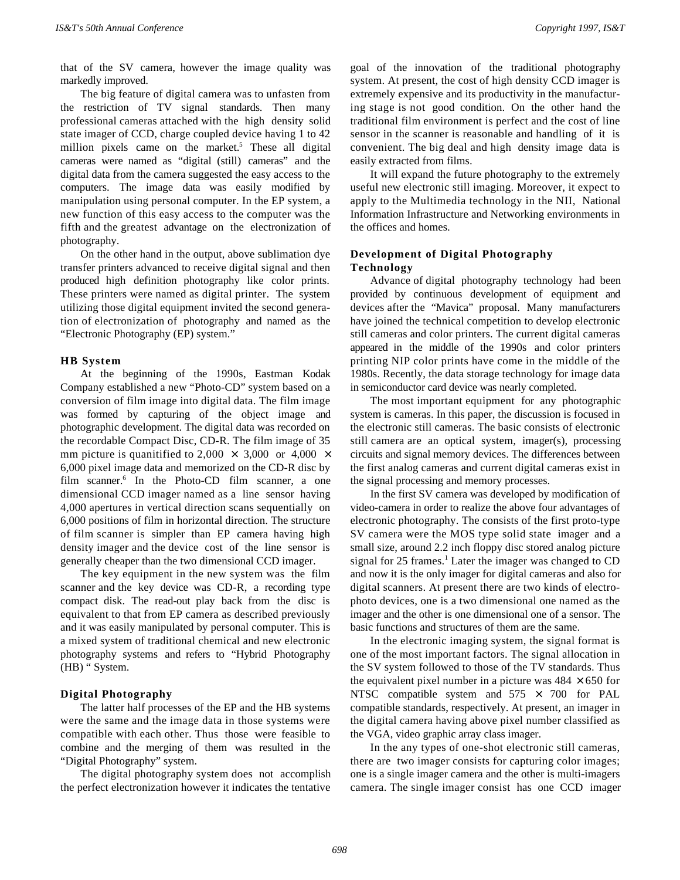that of the SV camera, however the image quality was markedly improved.

The big feature of digital camera was to unfasten from the restriction of TV signal standards. Then many professional cameras attached with the high density solid state imager of CCD, charge coupled device having 1 to 42 million pixels came on the market.<sup>5</sup> These all digital cameras were named as "digital (still) cameras" and the digital data from the camera suggested the easy access to the computers. The image data was easily modified by manipulation using personal computer. In the EP system, a new function of this easy access to the computer was the fifth and the greatest advantage on the electronization of photography.

On the other hand in the output, above sublimation dye transfer printers advanced to receive digital signal and then produced high definition photography like color prints. These printers were named as digital printer. The system utilizing those digital equipment invited the second generation of electronization of photography and named as the "Electronic Photography (EP) system."

#### **HB System**

At the beginning of the 1990s, Eastman Kodak Company established a new "Photo-CD" system based on a conversion of film image into digital data. The film image was formed by capturing of the object image and photographic development. The digital data was recorded on the recordable Compact Disc, CD-R. The film image of 35 mm picture is quanitified to 2,000  $\times$  3,000 or 4,000  $\times$ 6,000 pixel image data and memorized on the CD-R disc by film scanner.<sup>6</sup> In the Photo-CD film scanner, a one dimensional CCD imager named as a line sensor having 4,000 apertures in vertical direction scans sequentially on 6,000 positions of film in horizontal direction. The structure of film scanner is simpler than EP camera having high density imager and the device cost of the line sensor is generally cheaper than the two dimensional CCD imager.

The key equipment in the new system was the film scanner and the key device was CD-R, a recording type compact disk. The read-out play back from the disc is equivalent to that from EP camera as described previously and it was easily manipulated by personal computer. This is a mixed system of traditional chemical and new electronic photography systems and refers to "Hybrid Photography (HB) " System.

#### **Digital Photography**

The latter half processes of the EP and the HB systems were the same and the image data in those systems were compatible with each other. Thus those were feasible to combine and the merging of them was resulted in the "Digital Photography" system.

The digital photography system does not accomplish the perfect electronization however it indicates the tentative

goal of the innovation of the traditional photography system. At present, the cost of high density CCD imager is extremely expensive and its productivity in the manufacturing stage is not good condition. On the other hand the traditional film environment is perfect and the cost of line sensor in the scanner is reasonable and handling of it is convenient. The big deal and high density image data is easily extracted from films.

It will expand the future photography to the extremely useful new electronic still imaging. Moreover, it expect to apply to the Multimedia technology in the NII, National Information Infrastructure and Networking environments in the offices and homes.

## **Development of Digital Photography Technology**

Advance of digital photography technology had been provided by continuous development of equipment and devices after the "Mavica" proposal. Many manufacturers have joined the technical competition to develop electronic still cameras and color printers. The current digital cameras appeared in the middle of the 1990s and color printers printing NIP color prints have come in the middle of the 1980s. Recently, the data storage technology for image data in semiconductor card device was nearly completed.

The most important equipment for any photographic system is cameras. In this paper, the discussion is focused in the electronic still cameras. The basic consists of electronic still camera are an optical system, imager(s), processing circuits and signal memory devices. The differences between the first analog cameras and current digital cameras exist in the signal processing and memory processes.

In the first SV camera was developed by modification of video-camera in order to realize the above four advantages of electronic photography. The consists of the first proto-type SV camera were the MOS type solid state imager and a small size, around 2.2 inch floppy disc stored analog picture signal for 25 frames.<sup>1</sup> Later the imager was changed to CD and now it is the only imager for digital cameras and also for digital scanners. At present there are two kinds of electrophoto devices, one is a two dimensional one named as the imager and the other is one dimensional one of a sensor. The basic functions and structures of them are the same.

In the electronic imaging system, the signal format is one of the most important factors. The signal allocation in the SV system followed to those of the TV standards. Thus the equivalent pixel number in a picture was  $484 \times 650$  for NTSC compatible system and  $575 \times 700$  for PAL compatible standards, respectively. At present, an imager in the digital camera having above pixel number classified as the VGA, video graphic array class imager.

In the any types of one-shot electronic still cameras, there are two imager consists for capturing color images; one is a single imager camera and the other is multi-imagers camera. The single imager consist has one CCD imager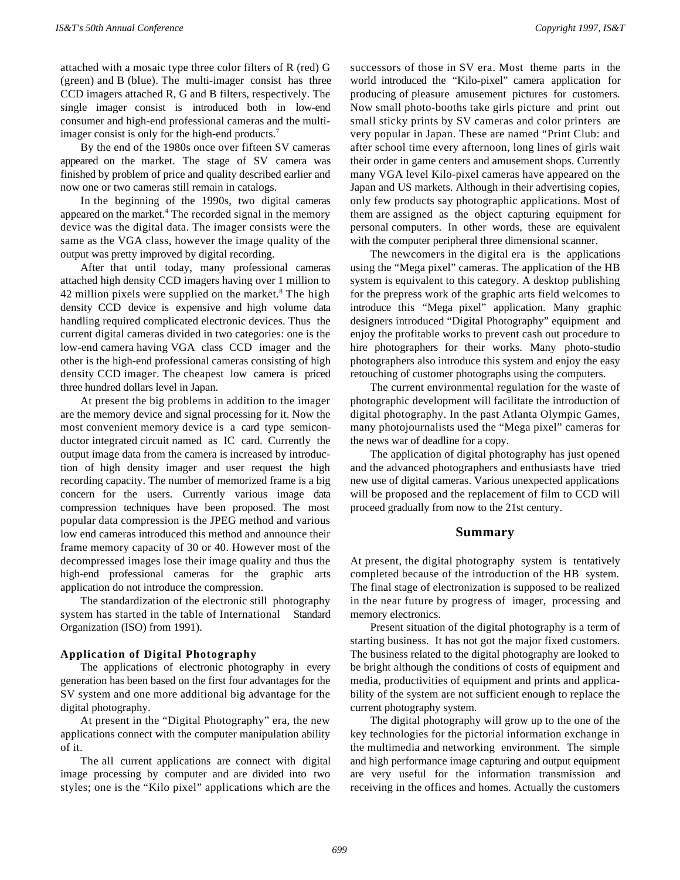attached with a mosaic type three color filters of R (red) G (green) and B (blue). The multi-imager consist has three CCD imagers attached R, G and B filters, respectively. The single imager consist is introduced both in low-end consumer and high-end professional cameras and the multiimager consist is only for the high-end products.<sup>7</sup>

By the end of the 1980s once over fifteen SV cameras appeared on the market. The stage of SV camera was finished by problem of price and quality described earlier and now one or two cameras still remain in catalogs.

In the beginning of the 1990s, two digital cameras appeared on the market.<sup>4</sup> The recorded signal in the memory device was the digital data. The imager consists were the same as the VGA class, however the image quality of the output was pretty improved by digital recording.

After that until today, many professional cameras attached high density CCD imagers having over 1 million to 42 million pixels were supplied on the market.<sup>8</sup> The high density CCD device is expensive and high volume data handling required complicated electronic devices. Thus the current digital cameras divided in two categories: one is the low-end camera having VGA class CCD imager and the other is the high-end professional cameras consisting of high density CCD imager. The cheapest low camera is priced three hundred dollars level in Japan.

At present the big problems in addition to the imager are the memory device and signal processing for it. Now the most convenient memory device is a card type semiconductor integrated circuit named as IC card. Currently the output image data from the camera is increased by introduction of high density imager and user request the high recording capacity. The number of memorized frame is a big concern for the users. Currently various image data compression techniques have been proposed. The most popular data compression is the JPEG method and various low end cameras introduced this method and announce their frame memory capacity of 30 or 40. However most of the decompressed images lose their image quality and thus the high-end professional cameras for the graphic arts application do not introduce the compression.

The standardization of the electronic still photography system has started in the table of International Standard Organization (ISO) from 1991).

## **Application of Digital Photography**

The applications of electronic photography in every generation has been based on the first four advantages for the SV system and one more additional big advantage for the digital photography.

At present in the "Digital Photography" era, the new applications connect with the computer manipulation ability of it.

The all current applications are connect with digital image processing by computer and are divided into two styles; one is the "Kilo pixel" applications which are the

successors of those in SV era. Most theme parts in the world introduced the "Kilo-pixel" camera application for producing of pleasure amusement pictures for customers. Now small photo-booths take girls picture and print out small sticky prints by SV cameras and color printers are very popular in Japan. These are named "Print Club: and after school time every afternoon, long lines of girls wait their order in game centers and amusement shops. Currently many VGA level Kilo-pixel cameras have appeared on the Japan and US markets. Although in their advertising copies, only few products say photographic applications. Most of them are assigned as the object capturing equipment for personal computers. In other words, these are equivalent with the computer peripheral three dimensional scanner.

The newcomers in the digital era is the applications using the "Mega pixel" cameras. The application of the HB system is equivalent to this category. A desktop publishing for the prepress work of the graphic arts field welcomes to introduce this "Mega pixel" application. Many graphic designers introduced "Digital Photography" equipment and enjoy the profitable works to prevent cash out procedure to hire photographers for their works. Many photo-studio photographers also introduce this system and enjoy the easy retouching of customer photographs using the computers.

The current environmental regulation for the waste of photographic development will facilitate the introduction of digital photography. In the past Atlanta Olympic Games, many photojournalists used the "Mega pixel" cameras for the news war of deadline for a copy.

The application of digital photography has just opened and the advanced photographers and enthusiasts have tried new use of digital cameras. Various unexpected applications will be proposed and the replacement of film to CCD will proceed gradually from now to the 21st century.

## **Summary**

At present, the digital photography system is tentatively completed because of the introduction of the HB system. The final stage of electronization is supposed to be realized in the near future by progress of imager, processing and memory electronics.

Present situation of the digital photography is a term of starting business. It has not got the major fixed customers. The business related to the digital photography are looked to be bright although the conditions of costs of equipment and media, productivities of equipment and prints and applicability of the system are not sufficient enough to replace the current photography system.

The digital photography will grow up to the one of the key technologies for the pictorial information exchange in the multimedia and networking environment. The simple and high performance image capturing and output equipment are very useful for the information transmission and receiving in the offices and homes. Actually the customers